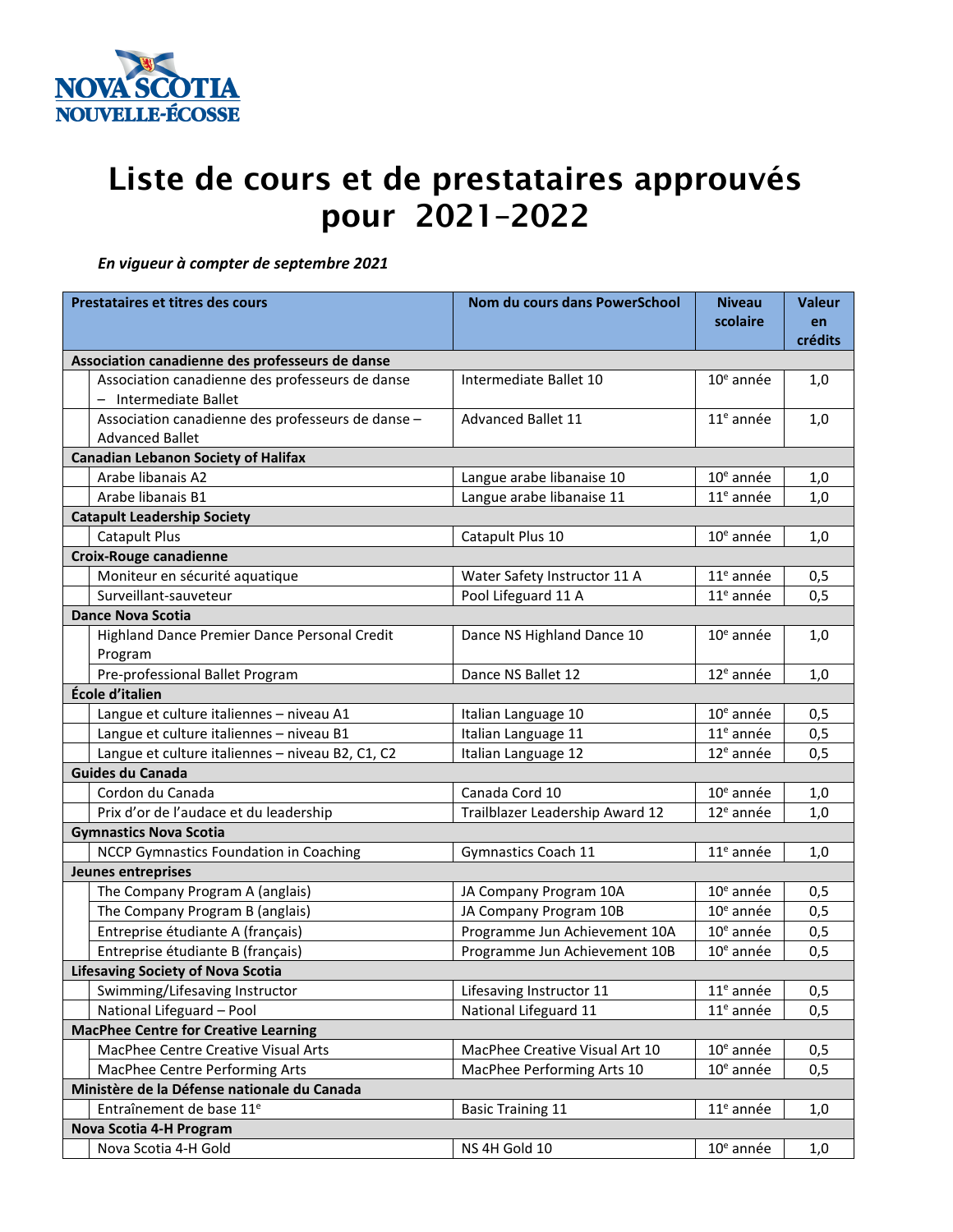

## Liste de cours et de prestataires approuvés pour 2021–2022

 *En vigueur à compter de septembre 2021*

| Prestataires et titres des cours            |                                                                             | Nom du cours dans PowerSchool   | <b>Niveau</b> | <b>Valeur</b> |  |  |  |
|---------------------------------------------|-----------------------------------------------------------------------------|---------------------------------|---------------|---------------|--|--|--|
|                                             |                                                                             |                                 | scolaire      | en            |  |  |  |
|                                             |                                                                             |                                 |               | crédits       |  |  |  |
|                                             | Association canadienne des professeurs de danse                             |                                 |               |               |  |  |  |
|                                             | Association canadienne des professeurs de danse<br>- Intermediate Ballet    | Intermediate Ballet 10          | $10e$ année   | 1,0           |  |  |  |
|                                             | Association canadienne des professeurs de danse -<br><b>Advanced Ballet</b> | <b>Advanced Ballet 11</b>       | $11e$ année   | 1,0           |  |  |  |
|                                             | <b>Canadian Lebanon Society of Halifax</b>                                  |                                 |               |               |  |  |  |
|                                             | Arabe libanais A2                                                           | Langue arabe libanaise 10       | $10e$ année   | 1,0           |  |  |  |
|                                             | Arabe libanais B1                                                           | Langue arabe libanaise 11       | $11e$ année   | 1,0           |  |  |  |
|                                             | <b>Catapult Leadership Society</b>                                          |                                 |               |               |  |  |  |
|                                             | <b>Catapult Plus</b>                                                        | Catapult Plus 10                | $10e$ année   | 1,0           |  |  |  |
|                                             | <b>Croix-Rouge canadienne</b>                                               |                                 |               |               |  |  |  |
|                                             | Moniteur en sécurité aquatique                                              | Water Safety Instructor 11 A    | $11e$ année   | 0,5           |  |  |  |
|                                             | Surveillant-sauveteur                                                       | Pool Lifeguard 11 A             | $11e$ année   | 0,5           |  |  |  |
|                                             | <b>Dance Nova Scotia</b>                                                    |                                 |               |               |  |  |  |
|                                             | Highland Dance Premier Dance Personal Credit<br>Program                     | Dance NS Highland Dance 10      | $10e$ année   | 1,0           |  |  |  |
|                                             | Pre-professional Ballet Program                                             | Dance NS Ballet 12              | $12e$ année   | 1,0           |  |  |  |
|                                             | École d'italien                                                             |                                 |               |               |  |  |  |
|                                             | Langue et culture italiennes - niveau A1                                    | Italian Language 10             | $10e$ année   | 0, 5          |  |  |  |
|                                             | Langue et culture italiennes - niveau B1                                    | Italian Language 11             | $11e$ année   | 0, 5          |  |  |  |
|                                             | Langue et culture italiennes - niveau B2, C1, C2                            | Italian Language 12             | $12e$ année   | 0,5           |  |  |  |
| <b>Guides du Canada</b>                     |                                                                             |                                 |               |               |  |  |  |
|                                             | Cordon du Canada                                                            | Canada Cord 10                  | $10e$ année   | 1,0           |  |  |  |
|                                             | Prix d'or de l'audace et du leadership                                      | Trailblazer Leadership Award 12 | $12e$ année   | 1,0           |  |  |  |
|                                             | <b>Gymnastics Nova Scotia</b>                                               |                                 |               |               |  |  |  |
|                                             | <b>NCCP Gymnastics Foundation in Coaching</b>                               | Gymnastics Coach 11             | $11e$ année   | 1,0           |  |  |  |
|                                             | <b>Jeunes entreprises</b>                                                   |                                 |               |               |  |  |  |
|                                             | The Company Program A (anglais)                                             | JA Company Program 10A          | $10e$ année   | 0,5           |  |  |  |
|                                             | The Company Program B (anglais)                                             | JA Company Program 10B          | $10e$ année   | 0,5           |  |  |  |
|                                             | Entreprise étudiante A (français)                                           | Programme Jun Achievement 10A   | $10e$ année   | 0, 5          |  |  |  |
|                                             | Entreprise étudiante B (français)                                           | Programme Jun Achievement 10B   | $10e$ année   | 0, 5          |  |  |  |
| <b>Lifesaving Society of Nova Scotia</b>    |                                                                             |                                 |               |               |  |  |  |
|                                             | Swimming/Lifesaving Instructor                                              | Lifesaving Instructor 11        | $11e$ année   | 0,5           |  |  |  |
|                                             | National Lifeguard - Pool                                                   | National Lifeguard 11           | $11e$ année   | 0,5           |  |  |  |
| <b>MacPhee Centre for Creative Learning</b> |                                                                             |                                 |               |               |  |  |  |
|                                             | MacPhee Centre Creative Visual Arts                                         | MacPhee Creative Visual Art 10  | $10e$ année   | 0, 5          |  |  |  |
|                                             | MacPhee Centre Performing Arts                                              | MacPhee Performing Arts 10      | $10e$ année   | 0, 5          |  |  |  |
| Ministère de la Défense nationale du Canada |                                                                             |                                 |               |               |  |  |  |
|                                             | Entraînement de base 11 <sup>e</sup>                                        | <b>Basic Training 11</b>        | $11e$ année   | 1,0           |  |  |  |
|                                             | Nova Scotia 4-H Program                                                     |                                 |               |               |  |  |  |
|                                             | Nova Scotia 4-H Gold                                                        | NS 4H Gold 10                   | $10e$ année   | 1,0           |  |  |  |